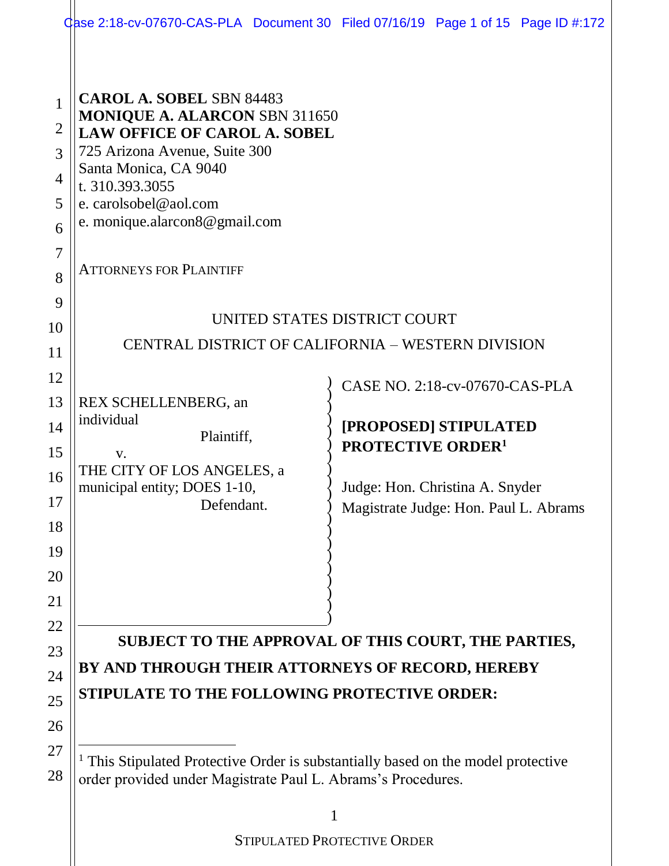| $\mathbf{1}$<br>$\overline{2}$<br>3<br>$\overline{4}$<br>5<br>6<br>$\overline{7}$<br>8<br>9<br>10<br>11<br>12<br>13<br>14<br>15<br>16<br>17<br>18<br>19<br>20<br>21 | <b>CAROL A. SOBEL SBN 84483</b><br><b>MONIQUE A. ALARCON SBN 311650</b><br><b>LAW OFFICE OF CAROL A. SOBEL</b><br>725 Arizona Avenue, Suite 300<br>Santa Monica, CA 9040<br>t. 310.393.3055<br>e. carolsobel@aol.com<br>e. monique.alarcon8@gmail.com<br><b>ATTORNEYS FOR PLAINTIFF</b><br>CENTRAL DISTRICT OF CALIFORNIA - WESTERN DIVISION<br>REX SCHELLENBERG, an<br>individual<br>Plaintiff,<br>V.<br>THE CITY OF LOS ANGELES, a<br>municipal entity; DOES 1-10,<br>Defendant. | UNITED STATES DISTRICT COURT<br>CASE NO. 2:18-cv-07670-CAS-PLA<br>[PROPOSED] STIPULATED<br><b>PROTECTIVE ORDER<sup>1</sup></b><br>Judge: Hon. Christina A. Snyder<br>Magistrate Judge: Hon. Paul L. Abrams |  |
|---------------------------------------------------------------------------------------------------------------------------------------------------------------------|------------------------------------------------------------------------------------------------------------------------------------------------------------------------------------------------------------------------------------------------------------------------------------------------------------------------------------------------------------------------------------------------------------------------------------------------------------------------------------|------------------------------------------------------------------------------------------------------------------------------------------------------------------------------------------------------------|--|
| 22<br>23<br>24<br>25<br>26<br>27<br>28                                                                                                                              | SUBJECT TO THE APPROVAL OF THIS COURT, THE PARTIES,<br>BY AND THROUGH THEIR ATTORNEYS OF RECORD, HEREBY<br>STIPULATE TO THE FOLLOWING PROTECTIVE ORDER:<br><sup>1</sup> This Stipulated Protective Order is substantially based on the model protective<br>order provided under Magistrate Paul L. Abrams's Procedures.                                                                                                                                                            |                                                                                                                                                                                                            |  |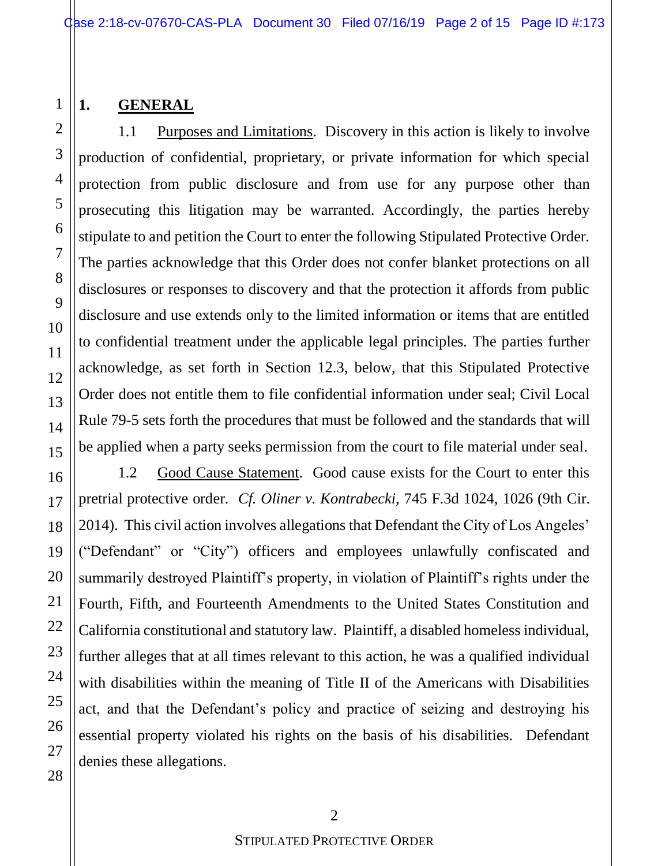#### **1. GENERAL**

1.1 Purposes and Limitations. Discovery in this action is likely to involve production of confidential, proprietary, or private information for which special protection from public disclosure and from use for any purpose other than prosecuting this litigation may be warranted. Accordingly, the parties hereby stipulate to and petition the Court to enter the following Stipulated Protective Order. The parties acknowledge that this Order does not confer blanket protections on all disclosures or responses to discovery and that the protection it affords from public disclosure and use extends only to the limited information or items that are entitled to confidential treatment under the applicable legal principles. The parties further acknowledge, as set forth in Section 12.3, below, that this Stipulated Protective Order does not entitle them to file confidential information under seal; Civil Local Rule 79-5 sets forth the procedures that must be followed and the standards that will be applied when a party seeks permission from the court to file material under seal.

1.2 Good Cause Statement. Good cause exists for the Court to enter this pretrial protective order. *Cf. Oliner v. Kontrabecki*, 745 F.3d 1024, 1026 (9th Cir. 2014). This civil action involves allegations that Defendant the City of Los Angeles' ("Defendant" or "City") officers and employees unlawfully confiscated and summarily destroyed Plaintiff's property, in violation of Plaintiff's rights under the Fourth, Fifth, and Fourteenth Amendments to the United States Constitution and California constitutional and statutory law. Plaintiff, a disabled homeless individual, further alleges that at all times relevant to this action, he was a qualified individual with disabilities within the meaning of Title II of the Americans with Disabilities act, and that the Defendant's policy and practice of seizing and destroying his essential property violated his rights on the basis of his disabilities. Defendant denies these allegations.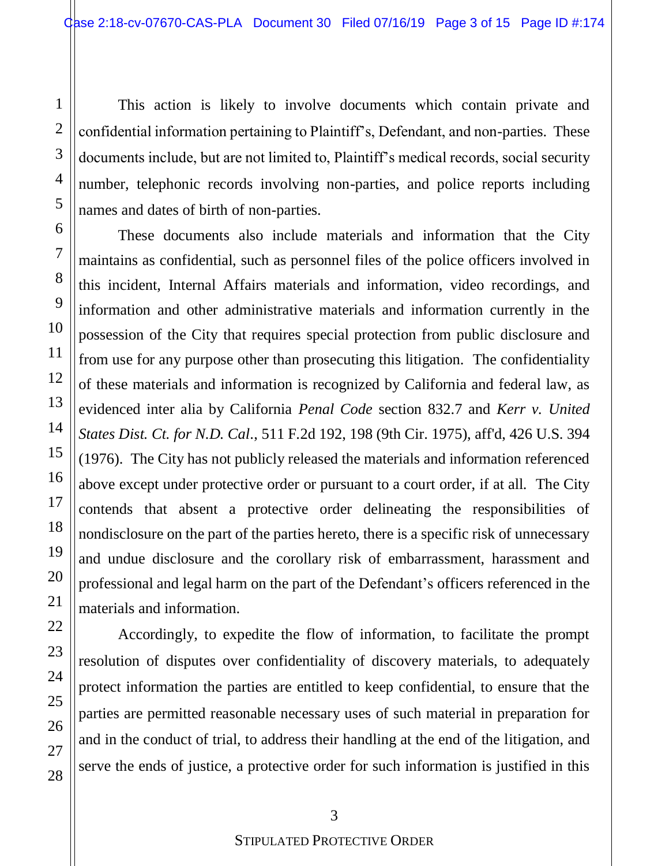This action is likely to involve documents which contain private and confidential information pertaining to Plaintiff's, Defendant, and non-parties. These documents include, but are not limited to, Plaintiff's medical records, social security number, telephonic records involving non-parties, and police reports including names and dates of birth of non-parties.

These documents also include materials and information that the City maintains as confidential, such as personnel files of the police officers involved in this incident, Internal Affairs materials and information, video recordings, and information and other administrative materials and information currently in the possession of the City that requires special protection from public disclosure and from use for any purpose other than prosecuting this litigation. The confidentiality of these materials and information is recognized by California and federal law, as evidenced inter alia by California *Penal Code* section 832.7 and *Kerr v. United States Dist. Ct. for N.D. Cal*., 511 F.2d 192, 198 (9th Cir. 1975), aff'd, 426 U.S. 394 (1976). The City has not publicly released the materials and information referenced above except under protective order or pursuant to a court order, if at all. The City contends that absent a protective order delineating the responsibilities of nondisclosure on the part of the parties hereto, there is a specific risk of unnecessary and undue disclosure and the corollary risk of embarrassment, harassment and professional and legal harm on the part of the Defendant's officers referenced in the materials and information.

Accordingly, to expedite the flow of information, to facilitate the prompt resolution of disputes over confidentiality of discovery materials, to adequately protect information the parties are entitled to keep confidential, to ensure that the parties are permitted reasonable necessary uses of such material in preparation for and in the conduct of trial, to address their handling at the end of the litigation, and serve the ends of justice, a protective order for such information is justified in this

#### STIPULATED PROTECTIVE ORDER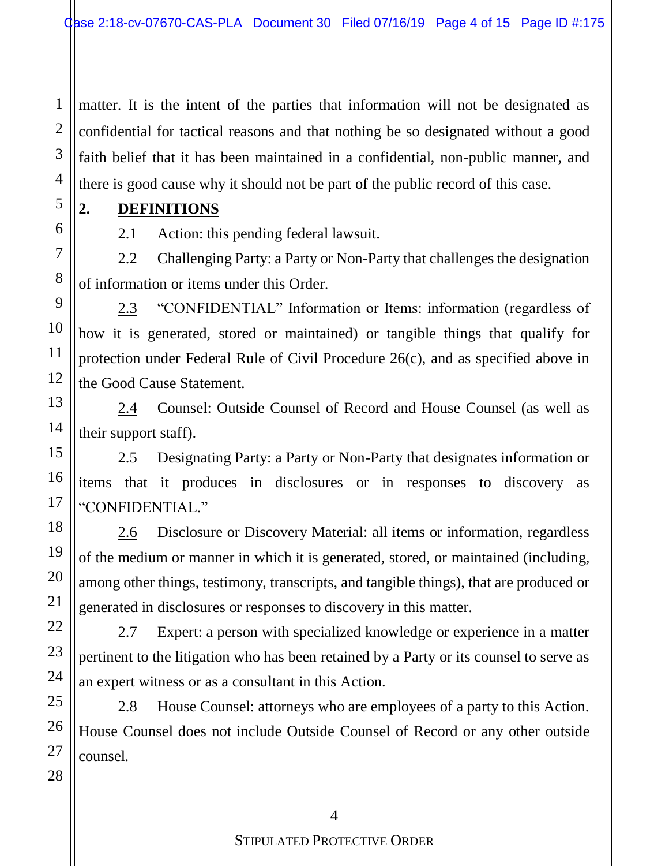2 3 4 matter. It is the intent of the parties that information will not be designated as confidential for tactical reasons and that nothing be so designated without a good faith belief that it has been maintained in a confidential, non-public manner, and there is good cause why it should not be part of the public record of this case.

#### **2. DEFINITIONS**

1

5

6

7

8

9

10

11

12

13

14

15

16

17

18

19

20

21

22

23

24

25

26

27

28

2.1 Action: this pending federal lawsuit.

2.2 Challenging Party: a Party or Non-Party that challenges the designation of information or items under this Order.

2.3 "CONFIDENTIAL" Information or Items: information (regardless of how it is generated, stored or maintained) or tangible things that qualify for protection under Federal Rule of Civil Procedure 26(c), and as specified above in the Good Cause Statement.

2.4 Counsel: Outside Counsel of Record and House Counsel (as well as their support staff).

2.5 Designating Party: a Party or Non-Party that designates information or items that it produces in disclosures or in responses to discovery as "CONFIDENTIAL."

2.6 Disclosure or Discovery Material: all items or information, regardless of the medium or manner in which it is generated, stored, or maintained (including, among other things, testimony, transcripts, and tangible things), that are produced or generated in disclosures or responses to discovery in this matter.

2.7 Expert: a person with specialized knowledge or experience in a matter pertinent to the litigation who has been retained by a Party or its counsel to serve as an expert witness or as a consultant in this Action.

2.8 House Counsel: attorneys who are employees of a party to this Action. House Counsel does not include Outside Counsel of Record or any other outside counsel.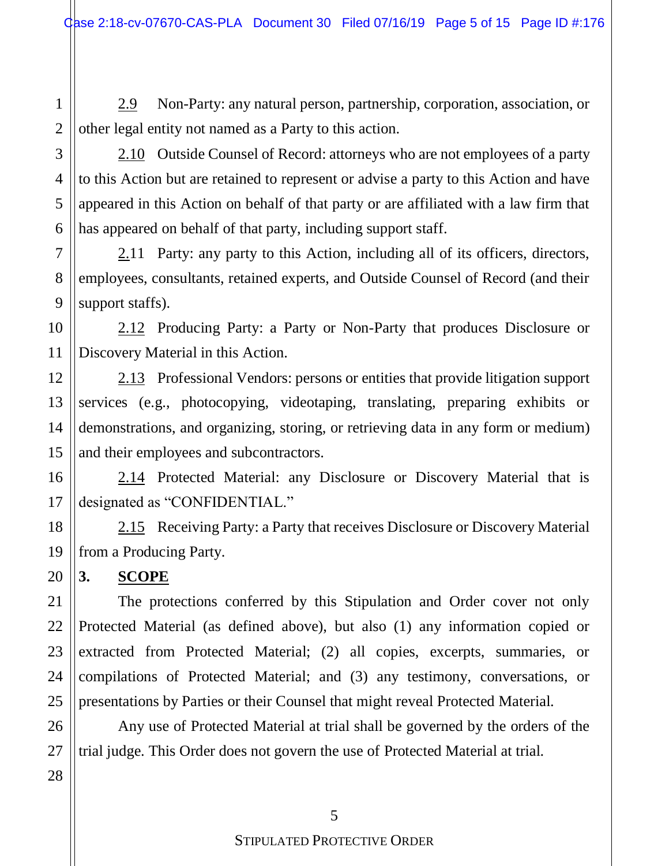2.9 Non-Party: any natural person, partnership, corporation, association, or other legal entity not named as a Party to this action.

2.10 Outside Counsel of Record: attorneys who are not employees of a party to this Action but are retained to represent or advise a party to this Action and have appeared in this Action on behalf of that party or are affiliated with a law firm that has appeared on behalf of that party, including support staff.

2.11 Party: any party to this Action, including all of its officers, directors, employees, consultants, retained experts, and Outside Counsel of Record (and their support staffs).

2.12 Producing Party: a Party or Non-Party that produces Disclosure or Discovery Material in this Action.

2.13 Professional Vendors: persons or entities that provide litigation support services (e.g., photocopying, videotaping, translating, preparing exhibits or demonstrations, and organizing, storing, or retrieving data in any form or medium) and their employees and subcontractors.

2.14 Protected Material: any Disclosure or Discovery Material that is designated as "CONFIDENTIAL."

2.15 Receiving Party: a Party that receives Disclosure or Discovery Material from a Producing Party.

**3. SCOPE**

The protections conferred by this Stipulation and Order cover not only Protected Material (as defined above), but also (1) any information copied or extracted from Protected Material; (2) all copies, excerpts, summaries, or compilations of Protected Material; and (3) any testimony, conversations, or presentations by Parties or their Counsel that might reveal Protected Material.

Any use of Protected Material at trial shall be governed by the orders of the trial judge. This Order does not govern the use of Protected Material at trial.

1

2

3

4

5

6

7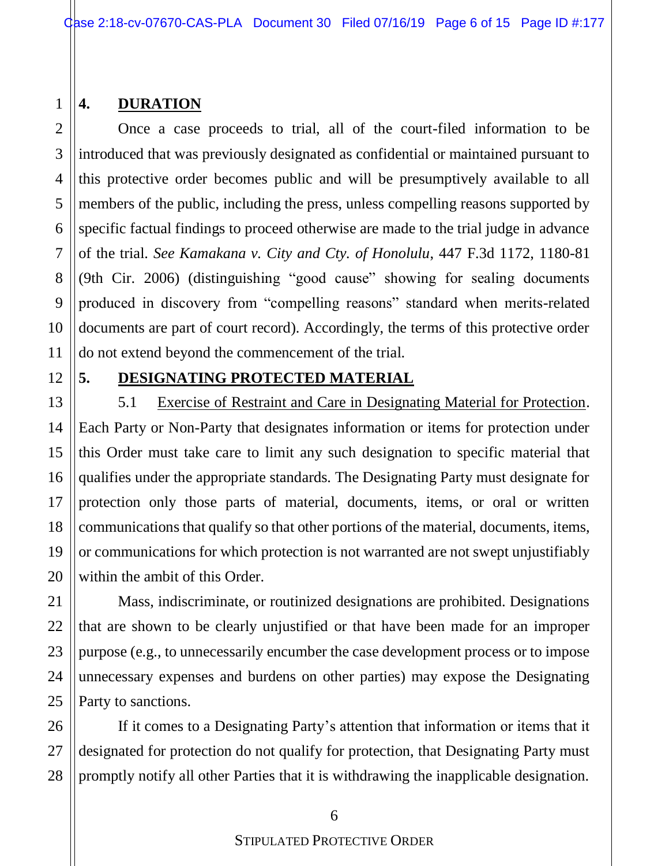## **4. DURATION**

Once a case proceeds to trial, all of the court-filed information to be introduced that was previously designated as confidential or maintained pursuant to this protective order becomes public and will be presumptively available to all members of the public, including the press, unless compelling reasons supported by specific factual findings to proceed otherwise are made to the trial judge in advance of the trial. *See Kamakana v. City and Cty. of Honolulu*, 447 F.3d 1172, 1180-81 (9th Cir. 2006) (distinguishing "good cause" showing for sealing documents produced in discovery from "compelling reasons" standard when merits-related documents are part of court record). Accordingly, the terms of this protective order do not extend beyond the commencement of the trial.

1

2

3

4

5

6

7

## **5. DESIGNATING PROTECTED MATERIAL**

5.1 Exercise of Restraint and Care in Designating Material for Protection. Each Party or Non-Party that designates information or items for protection under this Order must take care to limit any such designation to specific material that qualifies under the appropriate standards. The Designating Party must designate for protection only those parts of material, documents, items, or oral or written communications that qualify so that other portions of the material, documents, items, or communications for which protection is not warranted are not swept unjustifiably within the ambit of this Order.

Mass, indiscriminate, or routinized designations are prohibited. Designations that are shown to be clearly unjustified or that have been made for an improper purpose (e.g., to unnecessarily encumber the case development process or to impose unnecessary expenses and burdens on other parties) may expose the Designating Party to sanctions.

If it comes to a Designating Party's attention that information or items that it designated for protection do not qualify for protection, that Designating Party must promptly notify all other Parties that it is withdrawing the inapplicable designation.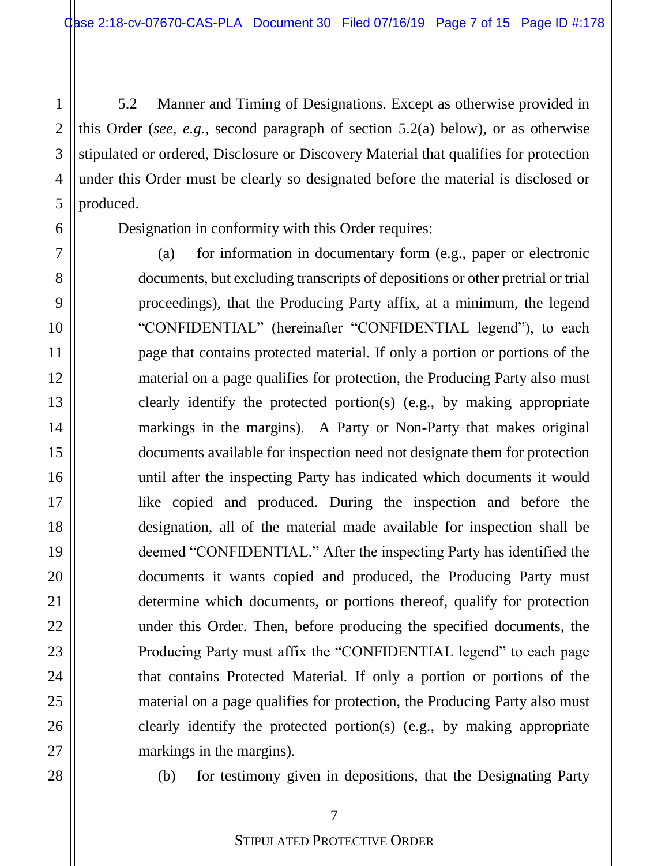5.2 Manner and Timing of Designations. Except as otherwise provided in this Order (*see, e.g.*, second paragraph of section 5.2(a) below), or as otherwise stipulated or ordered, Disclosure or Discovery Material that qualifies for protection under this Order must be clearly so designated before the material is disclosed or produced.

1

2

3

4

5

6

7

8

9

10

11

12

13

14

15

16

17

18

19

20

21

22

23

24

25

26

27

28

Designation in conformity with this Order requires:

(a) for information in documentary form (e.g., paper or electronic documents, but excluding transcripts of depositions or other pretrial or trial proceedings), that the Producing Party affix, at a minimum, the legend "CONFIDENTIAL" (hereinafter "CONFIDENTIAL legend"), to each page that contains protected material. If only a portion or portions of the material on a page qualifies for protection, the Producing Party also must clearly identify the protected portion(s) (e.g., by making appropriate markings in the margins). A Party or Non-Party that makes original documents available for inspection need not designate them for protection until after the inspecting Party has indicated which documents it would like copied and produced. During the inspection and before the designation, all of the material made available for inspection shall be deemed "CONFIDENTIAL." After the inspecting Party has identified the documents it wants copied and produced, the Producing Party must determine which documents, or portions thereof, qualify for protection under this Order. Then, before producing the specified documents, the Producing Party must affix the "CONFIDENTIAL legend" to each page that contains Protected Material. If only a portion or portions of the material on a page qualifies for protection, the Producing Party also must clearly identify the protected portion(s) (e.g., by making appropriate markings in the margins).

(b) for testimony given in depositions, that the Designating Party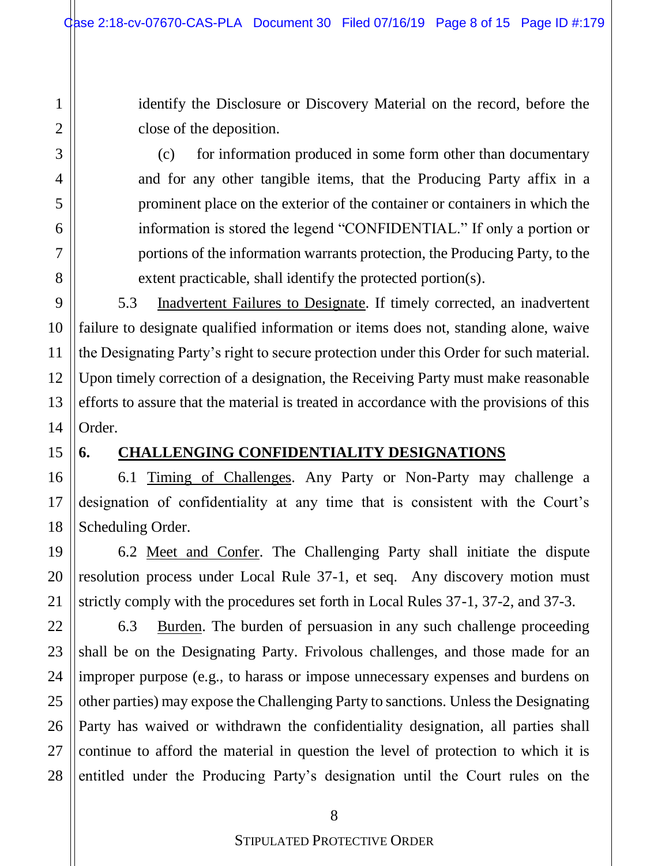identify the Disclosure or Discovery Material on the record, before the close of the deposition.

(c) for information produced in some form other than documentary and for any other tangible items, that the Producing Party affix in a prominent place on the exterior of the container or containers in which the information is stored the legend "CONFIDENTIAL." If only a portion or portions of the information warrants protection, the Producing Party, to the extent practicable, shall identify the protected portion(s).

5.3 Inadvertent Failures to Designate. If timely corrected, an inadvertent failure to designate qualified information or items does not, standing alone, waive the Designating Party's right to secure protection under this Order for such material. Upon timely correction of a designation, the Receiving Party must make reasonable efforts to assure that the material is treated in accordance with the provisions of this Order.

#### **6. CHALLENGING CONFIDENTIALITY DESIGNATIONS**

6.1 Timing of Challenges. Any Party or Non-Party may challenge a designation of confidentiality at any time that is consistent with the Court's Scheduling Order.

6.2 Meet and Confer. The Challenging Party shall initiate the dispute resolution process under Local Rule 37-1, et seq. Any discovery motion must strictly comply with the procedures set forth in Local Rules 37-1, 37-2, and 37-3.

6.3 Burden. The burden of persuasion in any such challenge proceeding shall be on the Designating Party. Frivolous challenges, and those made for an improper purpose (e.g., to harass or impose unnecessary expenses and burdens on other parties) may expose the Challenging Party to sanctions. Unless the Designating Party has waived or withdrawn the confidentiality designation, all parties shall continue to afford the material in question the level of protection to which it is entitled under the Producing Party's designation until the Court rules on the

8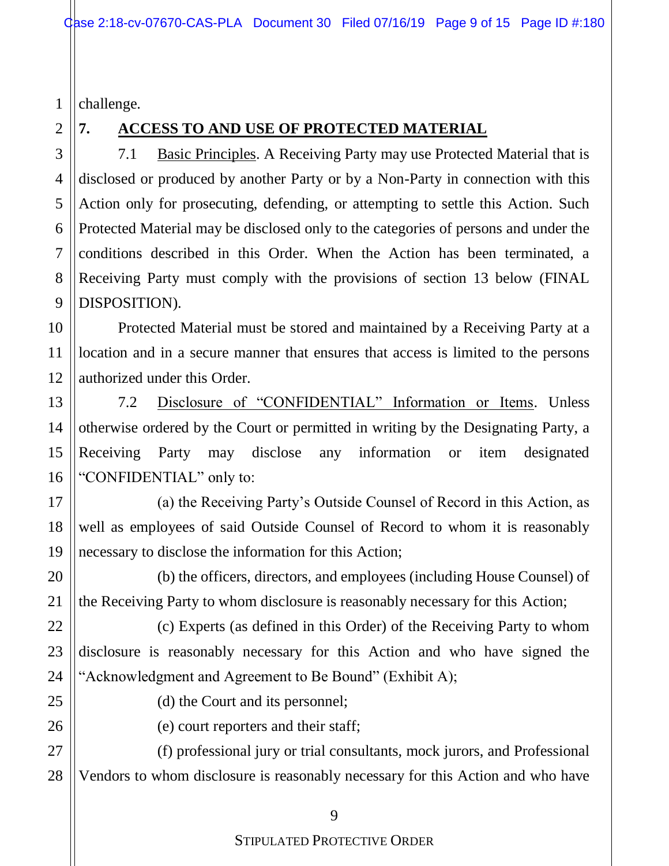1 challenge.

#### 2

# **7. ACCESS TO AND USE OF PROTECTED MATERIAL**

7.1 Basic Principles. A Receiving Party may use Protected Material that is disclosed or produced by another Party or by a Non-Party in connection with this Action only for prosecuting, defending, or attempting to settle this Action. Such Protected Material may be disclosed only to the categories of persons and under the conditions described in this Order. When the Action has been terminated, a Receiving Party must comply with the provisions of section 13 below (FINAL DISPOSITION).

Protected Material must be stored and maintained by a Receiving Party at a location and in a secure manner that ensures that access is limited to the persons authorized under this Order.

7.2 Disclosure of "CONFIDENTIAL" Information or Items. Unless otherwise ordered by the Court or permitted in writing by the Designating Party, a Receiving Party may disclose any information or item designated "CONFIDENTIAL" only to:

(a) the Receiving Party's Outside Counsel of Record in this Action, as well as employees of said Outside Counsel of Record to whom it is reasonably necessary to disclose the information for this Action;

(b) the officers, directors, and employees (including House Counsel) of the Receiving Party to whom disclosure is reasonably necessary for this Action;

(c) Experts (as defined in this Order) of the Receiving Party to whom disclosure is reasonably necessary for this Action and who have signed the "Acknowledgment and Agreement to Be Bound" (Exhibit A);

(d) the Court and its personnel;

(e) court reporters and their staff;

(f) professional jury or trial consultants, mock jurors, and Professional Vendors to whom disclosure is reasonably necessary for this Action and who have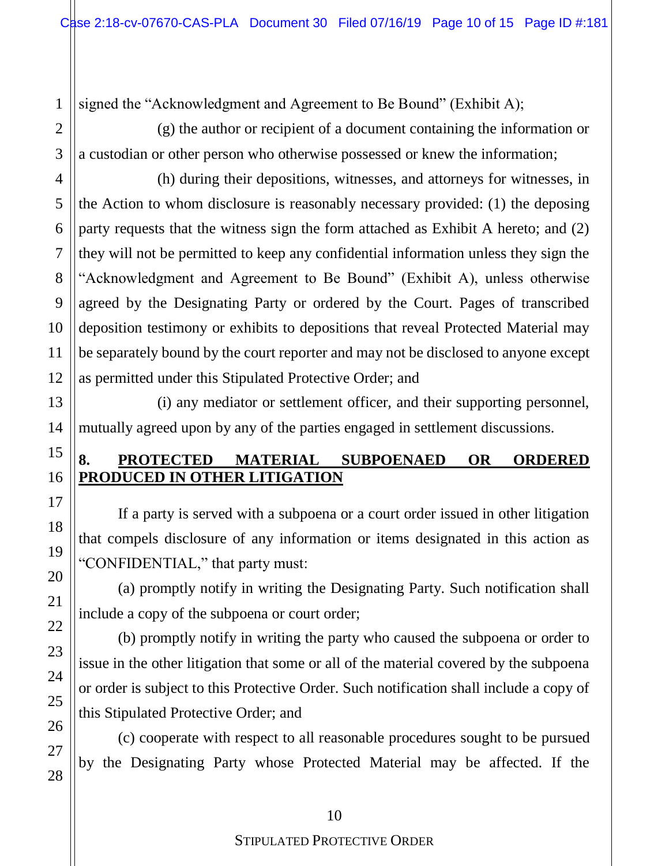1 signed the "Acknowledgment and Agreement to Be Bound" (Exhibit A);

(g) the author or recipient of a document containing the information or a custodian or other person who otherwise possessed or knew the information;

(h) during their depositions, witnesses, and attorneys for witnesses, in the Action to whom disclosure is reasonably necessary provided: (1) the deposing party requests that the witness sign the form attached as Exhibit A hereto; and (2) they will not be permitted to keep any confidential information unless they sign the "Acknowledgment and Agreement to Be Bound" (Exhibit A), unless otherwise agreed by the Designating Party or ordered by the Court. Pages of transcribed deposition testimony or exhibits to depositions that reveal Protected Material may be separately bound by the court reporter and may not be disclosed to anyone except as permitted under this Stipulated Protective Order; and

(i) any mediator or settlement officer, and their supporting personnel, mutually agreed upon by any of the parties engaged in settlement discussions.

# **8. PROTECTED MATERIAL SUBPOENAED OR ORDERED PRODUCED IN OTHER LITIGATION**

If a party is served with a subpoena or a court order issued in other litigation that compels disclosure of any information or items designated in this action as "CONFIDENTIAL," that party must:

(a) promptly notify in writing the Designating Party. Such notification shall include a copy of the subpoena or court order;

(b) promptly notify in writing the party who caused the subpoena or order to issue in the other litigation that some or all of the material covered by the subpoena or order is subject to this Protective Order. Such notification shall include a copy of this Stipulated Protective Order; and

(c) cooperate with respect to all reasonable procedures sought to be pursued by the Designating Party whose Protected Material may be affected. If the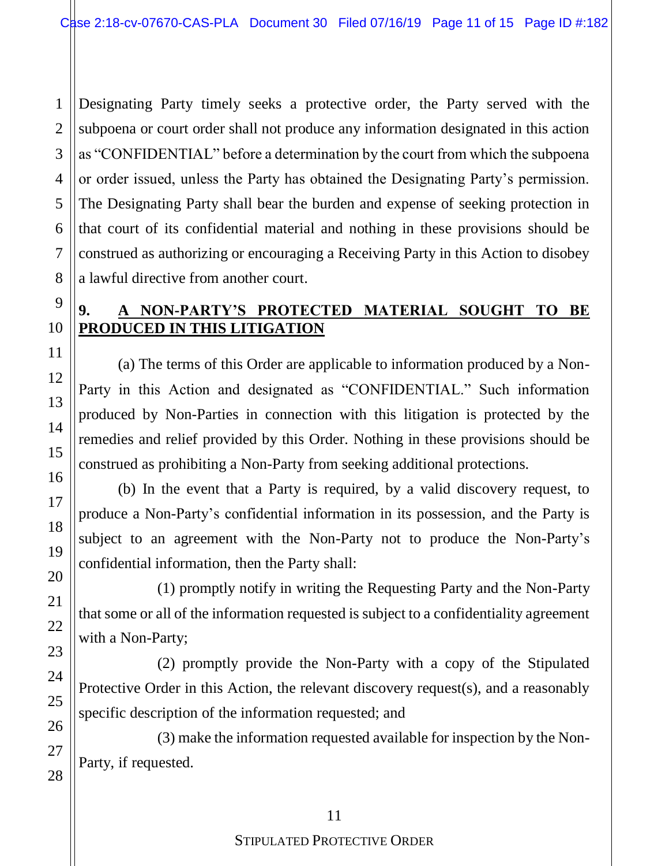Designating Party timely seeks a protective order, the Party served with the subpoena or court order shall not produce any information designated in this action as "CONFIDENTIAL" before a determination by the court from which the subpoena or order issued, unless the Party has obtained the Designating Party's permission. The Designating Party shall bear the burden and expense of seeking protection in that court of its confidential material and nothing in these provisions should be construed as authorizing or encouraging a Receiving Party in this Action to disobey a lawful directive from another court.

## **9. A NON-PARTY'S PROTECTED MATERIAL SOUGHT TO BE PRODUCED IN THIS LITIGATION**

(a) The terms of this Order are applicable to information produced by a Non-Party in this Action and designated as "CONFIDENTIAL." Such information produced by Non-Parties in connection with this litigation is protected by the remedies and relief provided by this Order. Nothing in these provisions should be construed as prohibiting a Non-Party from seeking additional protections.

(b) In the event that a Party is required, by a valid discovery request, to produce a Non-Party's confidential information in its possession, and the Party is subject to an agreement with the Non-Party not to produce the Non-Party's confidential information, then the Party shall:

(1) promptly notify in writing the Requesting Party and the Non-Party that some or all of the information requested is subject to a confidentiality agreement with a Non-Party;

(2) promptly provide the Non-Party with a copy of the Stipulated Protective Order in this Action, the relevant discovery request(s), and a reasonably specific description of the information requested; and

(3) make the information requested available for inspection by the Non-Party, if requested.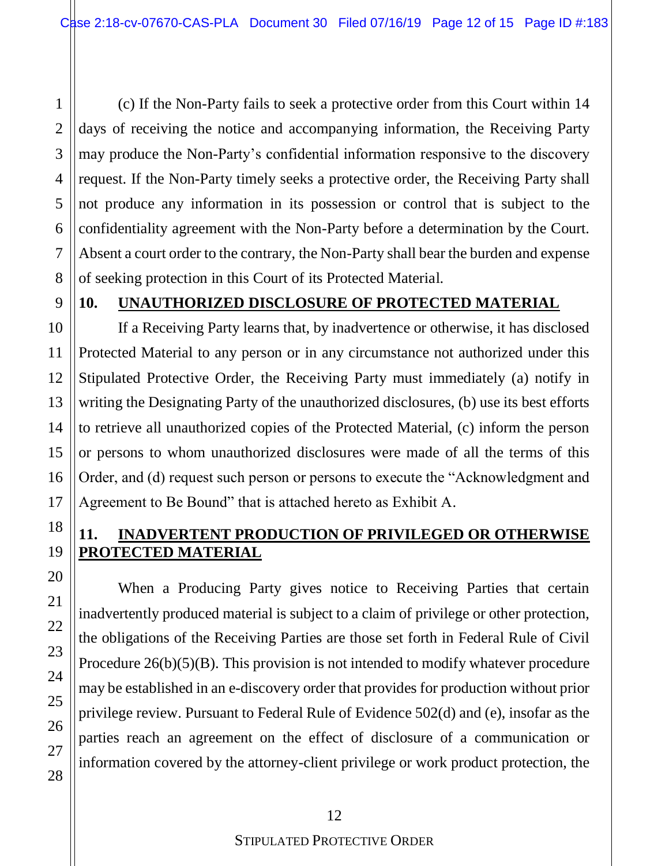(c) If the Non-Party fails to seek a protective order from this Court within 14 days of receiving the notice and accompanying information, the Receiving Party may produce the Non-Party's confidential information responsive to the discovery request. If the Non-Party timely seeks a protective order, the Receiving Party shall not produce any information in its possession or control that is subject to the confidentiality agreement with the Non-Party before a determination by the Court. Absent a court order to the contrary, the Non-Party shall bear the burden and expense of seeking protection in this Court of its Protected Material.

1

2

#### **10. UNAUTHORIZED DISCLOSURE OF PROTECTED MATERIAL**

If a Receiving Party learns that, by inadvertence or otherwise, it has disclosed Protected Material to any person or in any circumstance not authorized under this Stipulated Protective Order, the Receiving Party must immediately (a) notify in writing the Designating Party of the unauthorized disclosures, (b) use its best efforts to retrieve all unauthorized copies of the Protected Material, (c) inform the person or persons to whom unauthorized disclosures were made of all the terms of this Order, and (d) request such person or persons to execute the "Acknowledgment and Agreement to Be Bound" that is attached hereto as Exhibit A.

## **11. INADVERTENT PRODUCTION OF PRIVILEGED OR OTHERWISE PROTECTED MATERIAL**

When a Producing Party gives notice to Receiving Parties that certain inadvertently produced material is subject to a claim of privilege or other protection, the obligations of the Receiving Parties are those set forth in Federal Rule of Civil Procedure 26(b)(5)(B). This provision is not intended to modify whatever procedure may be established in an e-discovery order that provides for production without prior privilege review. Pursuant to Federal Rule of Evidence 502(d) and (e), insofar as the parties reach an agreement on the effect of disclosure of a communication or information covered by the attorney-client privilege or work product protection, the

# 12

#### STIPULATED PROTECTIVE ORDER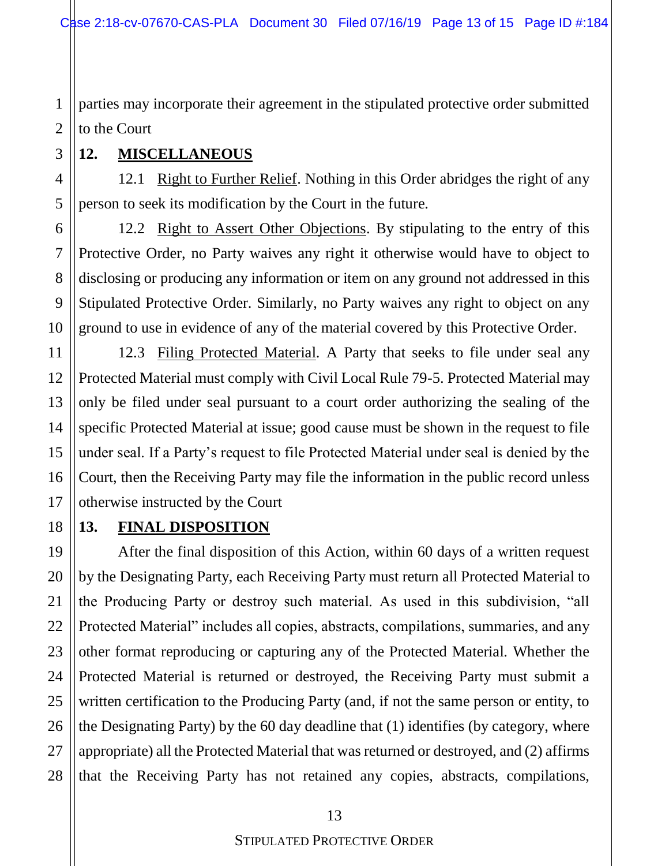1 2 parties may incorporate their agreement in the stipulated protective order submitted to the Court

## **12. MISCELLANEOUS**

12.1 Right to Further Relief. Nothing in this Order abridges the right of any person to seek its modification by the Court in the future.

12.2 Right to Assert Other Objections. By stipulating to the entry of this Protective Order, no Party waives any right it otherwise would have to object to disclosing or producing any information or item on any ground not addressed in this Stipulated Protective Order. Similarly, no Party waives any right to object on any ground to use in evidence of any of the material covered by this Protective Order.

12.3 Filing Protected Material. A Party that seeks to file under seal any Protected Material must comply with Civil Local Rule 79-5. Protected Material may only be filed under seal pursuant to a court order authorizing the sealing of the specific Protected Material at issue; good cause must be shown in the request to file under seal. If a Party's request to file Protected Material under seal is denied by the Court, then the Receiving Party may file the information in the public record unless otherwise instructed by the Court

# **13. FINAL DISPOSITION**

After the final disposition of this Action, within 60 days of a written request by the Designating Party, each Receiving Party must return all Protected Material to the Producing Party or destroy such material. As used in this subdivision, "all Protected Material" includes all copies, abstracts, compilations, summaries, and any other format reproducing or capturing any of the Protected Material. Whether the Protected Material is returned or destroyed, the Receiving Party must submit a written certification to the Producing Party (and, if not the same person or entity, to the Designating Party) by the 60 day deadline that (1) identifies (by category, where appropriate) all the Protected Material that was returned or destroyed, and (2) affirms that the Receiving Party has not retained any copies, abstracts, compilations,

3

4

13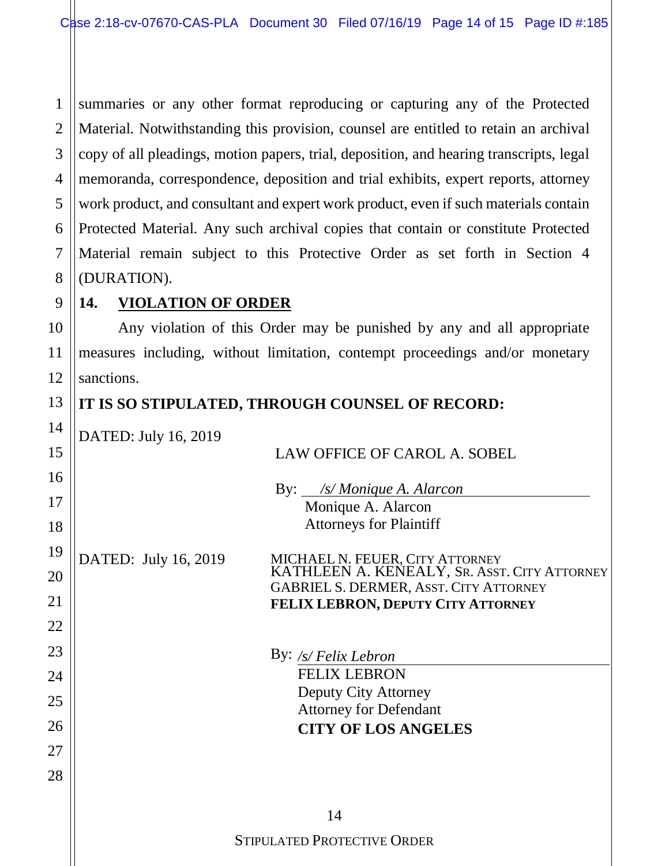1 2 3 4 5 6 7 8 summaries or any other format reproducing or capturing any of the Protected Material. Notwithstanding this provision, counsel are entitled to retain an archival copy of all pleadings, motion papers, trial, deposition, and hearing transcripts, legal memoranda, correspondence, deposition and trial exhibits, expert reports, attorney work product, and consultant and expert work product, even if such materials contain Protected Material. Any such archival copies that contain or constitute Protected Material remain subject to this Protective Order as set forth in Section 4 (DURATION).

# **14. VIOLATION OF ORDER**

9

10

11

12

13

14

Any violation of this Order may be punished by any and all appropriate measures including, without limitation, contempt proceedings and/or monetary sanctions.

# **IT IS SO STIPULATED, THROUGH COUNSEL OF RECORD:**

DATED: July 16, 2019

| 15 | $D$ (11 $D$ , $J$ uly $10$ , $2017$<br>LAW OFFICE OF CAROL A. SOBEL                                                              |
|----|----------------------------------------------------------------------------------------------------------------------------------|
| 16 | By: <i>/s/Monique A. Alarcon</i>                                                                                                 |
| 17 | Monique A. Alarcon                                                                                                               |
| 18 | <b>Attorneys for Plaintiff</b>                                                                                                   |
| 19 | DATED: July 16, 2019                                                                                                             |
| 20 | MICHAEL N. FEUER, CITY ATTORNEY<br>KATHLEEN A. KENEALY, SR. ASST. CITY ATTORNEY<br><b>GABRIEL S. DERMER, ASST. CITY ATTORNEY</b> |
| 21 | FELIX LEBRON, DEPUTY CITY ATTORNEY                                                                                               |
| 22 |                                                                                                                                  |
| 23 | By: $\frac{s}{F}$ elix Lebron                                                                                                    |
| 24 | <b>FELIX LEBRON</b>                                                                                                              |
| 25 | Deputy City Attorney                                                                                                             |
| 26 | <b>Attorney for Defendant</b><br><b>CITY OF LOS ANGELES</b>                                                                      |
| 27 |                                                                                                                                  |
| 28 |                                                                                                                                  |
|    |                                                                                                                                  |
|    | 14                                                                                                                               |
|    | <b>STIPULATED PROTECTIVE ORDER</b>                                                                                               |
|    |                                                                                                                                  |